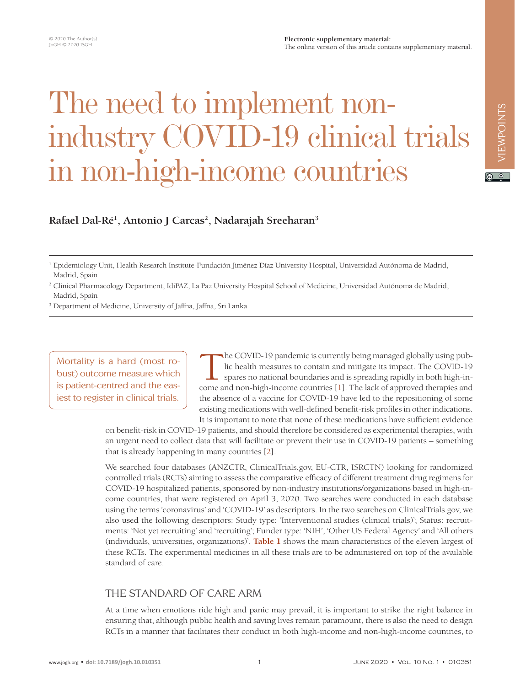#### **Electronic supplementary material:** The online version of this article contains supplementary material.

# The need to implement nonindustry COVID-19 clinical trials in non-high-income countries

Rafael Dal-Ré<sup>1</sup>, Antonio J Carcas<sup>2</sup>, Nadarajah Sreeharan<sup>3</sup>

<sup>3</sup> Department of Medicine, University of Jaffna, Jaffna, Sri Lanka

Mortality is a hard (most robust) outcome measure which is patient-centred and the easiest to register in clinical trials.

The COVID-19 pandemic is currently being managed globally using pub-<br>lic health measures to contain and mitigate its impact. The COVID-19<br>spares no national boundaries and is spreading rapidly in both high-in-<br>come and non lic health measures to contain and mitigate its impact. The COVID-19 spares no national boundaries and is spreading rapidly in both high-income and non-high-income countries [\[1\]](#page-3-0). The lack of approved therapies and the absence of a vaccine for COVID-19 have led to the repositioning of some existing medications with well-defined benefit-risk profiles in other indications. It is important to note that none of these medications have sufficient evidence

on benefit-risk in COVID-19 patients, and should therefore be considered as experimental therapies, with an urgent need to collect data that will facilitate or prevent their use in COVID-19 patients – something that is already happening in many countries [\[2](#page-3-1)].

We searched four databases (ANZCTR, ClinicalTrials.gov, EU-CTR, ISRCTN) looking for randomized controlled trials (RCTs) aiming to assess the comparative efficacy of different treatment drug regimens for COVID-19 hospitalized patients, sponsored by non-industry institutions/organizations based in high-income countries, that were registered on April 3, 2020. Two searches were conducted in each database using the terms 'coronavirus' and 'COVID-19' as descriptors. In the two searches on ClinicalTrials.gov, we also used the following descriptors: Study type: 'Interventional studies (clinical trials)'; Status: recruitments: 'Not yet recruiting' and 'recruiting'; Funder type: 'NIH', 'Other US Federal Agency' and 'All others (individuals, universities, organizations)'. **[Table 1](#page-1-0)** shows the main characteristics of the eleven largest of these RCTs. The experimental medicines in all these trials are to be administered on top of the available standard of care.

#### THE STANDARD OF CARE ARM

At a time when emotions ride high and panic may prevail, it is important to strike the right balance in ensuring that, although public health and saving lives remain paramount, there is also the need to design RCTs in a manner that facilitates their conduct in both high-income and non-high-income countries, to

 $\boxed{6}$  0

<sup>1</sup> Epidemiology Unit, Health Research Institute-Fundación Jiménez Díaz University Hospital, Universidad Autónoma de Madrid, Madrid, Spain

<sup>2</sup> Clinical Pharmacology Department, IdiPAZ, La Paz University Hospital School of Medicine, Universidad Autónoma de Madrid, Madrid, Spain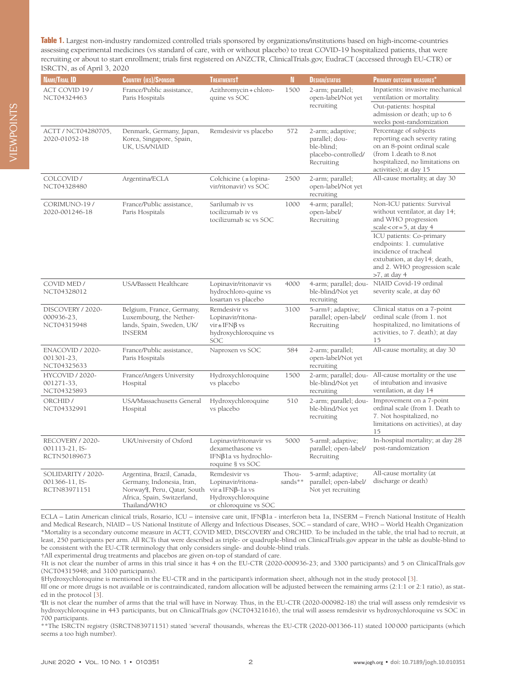<span id="page-1-0"></span>**Table 1.** Largest non-industry randomized controlled trials sponsored by organizations/institutions based on high-income-countries assessing experimental medicines (vs standard of care, with or without placebo) to treat COVID-19 hospitalized patients, that were recruiting or about to start enrollment; trials first registered on ANZCTR, ClinicalTrials.gov, EudraCT (accessed through EU-CTR) or ISRCTN, as of April 3, 2020

| NAME/TRIAL ID                                        | <b>COUNTRY (IES)/SPONSOR</b>                                                                                                                       | <b>TREATMENTST</b>                                                                                             | $\mathbb{N}$     | <b>DESIGN/STATUS</b>                                                                  | <b>PRIMARY OUTCOME MEASURES*</b>                                                                                                                                               |
|------------------------------------------------------|----------------------------------------------------------------------------------------------------------------------------------------------------|----------------------------------------------------------------------------------------------------------------|------------------|---------------------------------------------------------------------------------------|--------------------------------------------------------------------------------------------------------------------------------------------------------------------------------|
| ACT COVID 19/<br>NCT04324463                         | France/Public assistance,<br>Paris Hospitals                                                                                                       | Azithromycin + chloro-<br>quine vs SOC                                                                         | 1500             | 2-arm; parallel;<br>open-label/Not yet<br>recruiting                                  | Inpatients: invasive mechanical<br>ventilation or mortality.<br>Out-patients: hospital<br>admission or death; up to 6<br>weeks post-randomization                              |
| ACTT / NCT04280705,<br>2020-01052-18                 | Denmark, Germany, Japan,<br>Korea, Singapore, Spain,<br>UK, USA/NIAID                                                                              | Remdesivir vs placebo                                                                                          | 572              | 2-arm; adaptive;<br>parallel; dou-<br>ble-blind;<br>placebo-controlled/<br>Recruiting | Percentage of subjects<br>reporting each severity rating<br>on an 8-point ordinal scale<br>(from 1.death to 8.not<br>hospitalized, no limitations on<br>activities); at day 15 |
| COLCOVID /<br>NCT04328480                            | Argentina/ECLA                                                                                                                                     | Colchicine $(\pm$ lopina-<br>vir/ritonavir) vs SOC                                                             | 2500             | 2-arm; parallel;<br>open-label/Not yet<br>recruiting                                  | All-cause mortality, at day 30                                                                                                                                                 |
| CORIMUNO-19 /<br>2020-001246-18                      | France/Public assistance,<br>Paris Hospitals                                                                                                       | Sarilumab iv vs<br>tocilizumab iv vs<br>tocilizumab sc vs SOC                                                  | 1000             | 4-arm; parallel;<br>open-label/<br>Recruiting                                         | Non-ICU patients: Survival<br>without ventilator, at day 14;<br>and WHO progression<br>scale < $or = 5$ , at day 4                                                             |
|                                                      |                                                                                                                                                    |                                                                                                                |                  |                                                                                       | ICU patients: Co-primary<br>endpoints: 1. cumulative<br>incidence of tracheal<br>extubation, at day14; death,<br>and 2. WHO progression scale<br>$>7$ , at day 4               |
| COVID MED /<br>NCT04328012                           | USA/Bassett Healthcare                                                                                                                             | Lopinavir/ritonavir vs<br>hydrochloro-quine vs<br>losartan vs placebo                                          | 4000             | 4-arm; parallel; dou-<br>ble-blind/Not yet<br>recruiting                              | NIAID Covid-19 ordinal<br>severity scale, at day 60                                                                                                                            |
| DISCOVERY / 2020-<br>000936-23,<br>NCT04315948       | Belgium, France, Germany,<br>Luxembourg, the Nether-<br>lands, Spain, Sweden, UK/<br><b>INSERM</b>                                                 | Remdesivir vs<br>Lopinavir/ritona-<br>$vir \pm IFN\beta$ vs<br>hydroxychloroquine vs<br>SOC                    | 3100             | 5-arm <sup>#</sup> ; adaptive;<br>parallel; open-label/<br>Recruiting                 | Clinical status on a 7-point<br>ordinal scale (from 1. not<br>hospitalized, no limitations of<br>activities, to 7. death); at day<br>15                                        |
| ENACOVID / 2020-<br>001301-23,<br>NCT04325633        | France/Public assistance,<br>Paris Hospitals                                                                                                       | Naproxen vs SOC                                                                                                | 584              | 2-arm; parallel;<br>open-label/Not yet<br>recruiting                                  | All-cause mortality, at day 30                                                                                                                                                 |
| <b>HYCOVID / 2020-</b><br>001271-33,<br>NCT04325893  | France/Angers University<br>Hospital                                                                                                               | Hydroxychloroquine<br>vs placebo                                                                               | 1500             | 2-arm; parallel; dou-<br>ble-blind/Not yet<br>recruiting                              | All-cause mortality or the use<br>of intubation and invasive<br>ventilation, at day 14                                                                                         |
| ORCHID /<br>NCT04332991                              | USA/Massachusetts General<br>Hospital                                                                                                              | Hydroxychloroquine<br>vs placebo                                                                               | 510              | 2-arm; parallel; dou-<br>ble-blind/Not yet<br>recruiting                              | Improvement on a 7-point<br>ordinal scale (from 1. Death to<br>7. Not hospitalized, no<br>limitations on activities), at day<br>15                                             |
| RECOVERY / 2020-<br>001113-21, IS-<br>RCTN50189673   | UK/University of Oxford                                                                                                                            | Lopinavir/ritonavir vs<br>dexamethasone vs<br>IFN $\beta$ la vs hydrochlo-<br>roquine § vs SOC                 | 5000             | 5-arml; adaptive;<br>parallel; open-label/<br>Recruiting                              | In-hospital mortality; at day 28<br>post-randomization                                                                                                                         |
| SOLIDARITY / 2020-<br>001366-11, IS-<br>RCTN83971151 | Argentina, Brazil, Canada,<br>Germany, Indonesia, Iran,<br>Norway <sup>q</sup> , Peru, Qatar, South<br>Africa, Spain, Switzerland,<br>Thailand/WHO | Remdesivir vs<br>Lopinavir/ritona-<br>$vir \pm IFN\beta$ -la vs<br>Hydroxychloroquine<br>or chloroquine vs SOC | Thou-<br>sands** | 5-arml; adaptive;<br>parallel; open-label/<br>Not yet recruiting                      | All-cause mortality (at<br>discharge or death)                                                                                                                                 |

ECLA – Latin American clinical trials, Rosario, ICU – intensive care unit, IFNβ1a - interferon beta 1a, INSERM – French National Institute of Health and Medical Research, NIAID – US National Institute of Allergy and Infectious Diseases, SOC – standard of care, WHO – World Health Organization \*Mortality is a secondary outcome measure in ACTT, COVID MED, DISCOVERY and ORCHID. To be included in the table, the trial had to recruit, at least, 250 participants per arm. All RCTs that were described as triple- or quadruple-blind on ClinicalTrials.gov appear in the table as double-blind to be consistent with the EU-CTR terminology that only considers single- and double-blind trials. †All experimental drug treatments and placebos are given on-top of standard of care.

‡It is not clear the number of arms in this trial since it has 4 on the EU-CTR (2020-000936-23; and 3300 participants) and 5 on ClinicalTrials.gov (NCT04315948; and 3100 participants).

§Hydroxychloroquine is mentioned in the EU-CTR and in the participant's information sheet, although not in the study protocol [\[3](#page-3-2)].

‖If one or more drugs is not available or is contraindicated, random allocation will be adjusted between the remaining arms (2:1:1 or 2:1 ratio), as stated in the protocol [[3](#page-3-2)].

¶It is not clear the number of arms that the trial will have in Norway. Thus, in the EU-CTR (2020-000982-18) the trial will assess only remdesivir vs hydroxychloroquine in 443 participants, but on ClinicalTrials.gov (NCT04321616), the trial will assess remdesivir vs hydroxychloroquine vs SOC in 700 participants.

\*\*The ISRCTN registry (ISRCTN83971151) stated 'several' thousands, whereas the EU-CTR (2020-001366-11) stated 100 000 participants (which seems a too high number).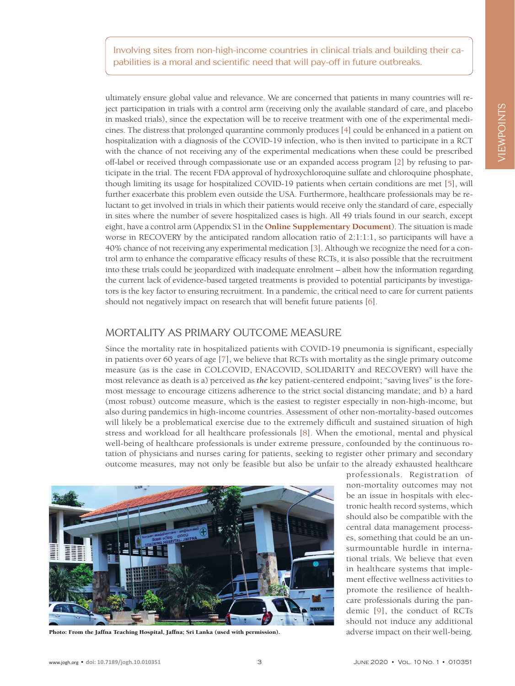Involving sites from non-high-income countries in clinical trials and building their capabilities is a moral and scientific need that will pay-off in future outbreaks.

ultimately ensure global value and relevance. We are concerned that patients in many countries will reject participation in trials with a control arm (receiving only the available standard of care, and placebo in masked trials), since the expectation will be to receive treatment with one of the experimental medicines. The distress that prolonged quarantine commonly produces [[4](#page-3-3)] could be enhanced in a patient on hospitalization with a diagnosis of the COVID-19 infection, who is then invited to participate in a RCT with the chance of not receiving any of the experimental medications when these could be prescribed off-label or received through compassionate use or an expanded access program [\[2](#page-3-1)] by refusing to participate in the trial. The recent FDA approval of hydroxychloroquine sulfate and chloroquine phosphate, though limiting its usage for hospitalized COVID-19 patients when certain conditions are met [[5](#page-3-4)], will further exacerbate this problem even outside the USA. Furthermore, healthcare professionals may be reluctant to get involved in trials in which their patients would receive only the standard of care, especially in sites where the number of severe hospitalized cases is high. All 49 trials found in our search, except eight, have a control arm (Appendix S1 in the **[Online Supplementary Document](#page-3-5)**). The situation is made worse in RECOVERY by the anticipated random allocation ratio of 2:1:1:1, so participants will have a 40% chance of not receiving any experimental medication [\[3\]](#page-3-2). Although we recognize the need for a control arm to enhance the comparative efficacy results of these RCTs, it is also possible that the recruitment into these trials could be jeopardized with inadequate enrolment – albeit how the information regarding the current lack of evidence-based targeted treatments is provided to potential participants by investigators is the key factor to ensuring recruitment. In a pandemic, the critical need to care for current patients should not negatively impact on research that will benefit future patients [[6](#page-3-6)].

### MORTALITY AS PRIMARY OUTCOME MEASURE

Since the mortality rate in hospitalized patients with COVID-19 pneumonia is significant, especially in patients over 60 years of age [[7\]](#page-3-7), we believe that RCTs with mortality as the single primary outcome measure (as is the case in COLCOVID, ENACOVID, SOLIDARITY and RECOVERY) will have the most relevance as death is a) perceived as *the* key patient-centered endpoint; "saving lives" is the foremost message to encourage citizens adherence to the strict social distancing mandate; and b) a hard (most robust) outcome measure, which is the easiest to register especially in non-high-income, but also during pandemics in high-income countries. Assessment of other non-mortality-based outcomes will likely be a problematical exercise due to the extremely difficult and sustained situation of high stress and workload for all healthcare professionals [[8\]](#page-4-0). When the emotional, mental and physical well-being of healthcare professionals is under extreme pressure, confounded by the continuous rotation of physicians and nurses caring for patients, seeking to register other primary and secondary outcome measures, may not only be feasible but also be unfair to the already exhausted healthcare



Photo: From the Jaffna Teaching Hospital, Jaffna; Sri Lanka (used with permission). adverse impact on their well-being.

professionals. Registration of non-mortality outcomes may not be an issue in hospitals with electronic health record systems, which should also be compatible with the central data management processes, something that could be an unsurmountable hurdle in international trials. We believe that even in healthcare systems that implement effective wellness activities to promote the resilience of healthcare professionals during the pandemic [[9](#page-4-1)], the conduct of RCTs should not induce any additional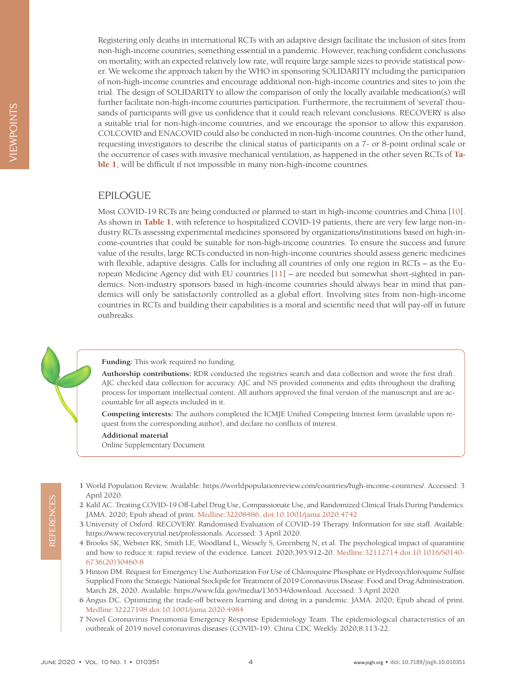Registering only deaths in international RCTs with an adaptive design facilitate the inclusion of sites from non-high-income countries, something essential in a pandemic. However, reaching confident conclusions on mortality, with an expected relatively low rate, will require large sample sizes to provide statistical power. We welcome the approach taken by the WHO in sponsoring SOLIDARITY including the participation of non-high-income countries and encourage additional non-high-income countries and sites to join the trial. The design of SOLIDARITY to allow the comparison of only the locally available medication(s) will further facilitate non-high-income countries participation. Furthermore, the recruitment of 'several' thousands of participants will give us confidence that it could reach relevant conclusions. RECOVERY is also a suitable trial for non-high-income countries, and we encourage the sponsor to allow this expansion. COLCOVID and ENACOVID could also be conducted in non-high-income countries. On the other hand, requesting investigators to describe the clinical status of participants on a 7- or 8-point ordinal scale or the occurrence of cases with invasive mechanical ventilation, as happened in the other seven RCTs of **[Ta](#page-1-0)[ble 1](#page-1-0)**, will be difficult if not impossible in many non-high-income countries.

## EPILOGUE

Most COVID-19 RCTs are being conducted or planned to start in high-income countries and China [[10](#page-4-2)]. As shown in **[Table 1](#page-1-0)**, with reference to hospitalized COVID-19 patients, there are very few large non-industry RCTs assessing experimental medicines sponsored by organizations/institutions based on high-income-countries that could be suitable for non-high-income countries. To ensure the success and future value of the results, large RCTs conducted in non-high-income countries should assess generic medicines with flexible, adaptive designs. Calls for including all countries of only one region in RCTs – as the European Medicine Agency did with EU countries [[11\]](#page-4-3) – are needed but somewhat short-sighted in pandemics. Non-industry sponsors based in high-income countries should always bear in mind that pandemics will only be satisfactorily controlled as a global effort. Involving sites from non-high-income countries in RCTs and building their capabilities is a moral and scientific need that will pay-off in future outbreaks.

**Funding:** This work required no funding.

**Authorship contributions:** RDR conducted the registries search and data collection and wrote the first draft. AJC checked data collection for accuracy. AJC and NS provided comments and edits throughout the drafting process for important intellectual content. All authors approved the final version of the manuscript and are accountable for all aspects included in it.

**Competing interests:** The authors completed the ICMJE Unified Competing Interest form (available upon request from the corresponding author), and declare no conflicts of interest.

<span id="page-3-5"></span>**Additional material**

[Online Supplementary Document](http://jogh.org/documents/issue202001/jogh-10-010351-s001.pdf)

- <span id="page-3-0"></span> 1 World Population Review. Available: <https://worldpopulationreview.com/countries/high-income-countries/>. Accessed: 3 April 2020.
- <span id="page-3-1"></span> 2 Kalil AC. Treating COVID-19 Off-Label Drug Use, Compassionate Use, and Randomized Clinical Trials During Pandemics. JAMA. 2020; Epub ahead of print[. Medline:32208486](https://www.ncbi.nlm.nih.gov/entrez/query.fcgi?cmd=Retrieve&db=PubMed&list_uids=32208486&dopt=Abstract). [doi:10.1001/jama.2020.4742](https://doi.org/10.1001/jama.2020.4742)
- <span id="page-3-2"></span> 3 University of Oxford. RECOVERY. Randomised Evaluation of COVID-19 Therapy. Information for site staff. Available: https://www.recoverytrial.net/professionals. Accessed: 3 April 2020.
- <span id="page-3-3"></span> 4 Brooks SK, Webster RK, Smith LE, Woodland L, Wessely S, Greenberg N, et al. The psychological impact of quarantine and how to reduce it: rapid review of the evidence. Lancet. 2020;395:912-20. [Medline:32112714](https://www.ncbi.nlm.nih.gov/entrez/query.fcgi?cmd=Retrieve&db=PubMed&list_uids=32112714&dopt=Abstract) [doi:10.1016/S0140-](https://doi.org/10.1016/S0140-6736(20)30460-8) [6736\(20\)30460-8](https://doi.org/10.1016/S0140-6736(20)30460-8)
- <span id="page-3-4"></span> 5 Hinton DM. Request for Emergency Use Authorization For Use of Chloroquine Phosphate or Hydroxychloroquine Sulfate Supplied From the Strategic National Stockpile for Treatment of 2019 Coronavirus Disease. Food and Drug Administration. March 28, 2020. Available: https://www.fda.gov/media/136534/download. Accessed: 3 April 2020.
- <span id="page-3-6"></span> 6 Angus DC. Optimizing the trade-off between learning and doing in a pandemic. JAMA. 2020; Epub ahead of print. [Medline:32227198](https://www.ncbi.nlm.nih.gov/entrez/query.fcgi?cmd=Retrieve&db=PubMed&list_uids=32227198&dopt=Abstract) [doi:10.1001/jama.2020.4984](https://doi.org/10.1001/jama.2020.4984)
- <span id="page-3-7"></span> 7 Novel Coronavirus Pneumonia Emergency Response Epidemiology Team. The epidemiological characteristics of an outbreak of 2019 novel coronavirus diseases (COVID-19). China CDC Weekly. 2020;8:113-22.